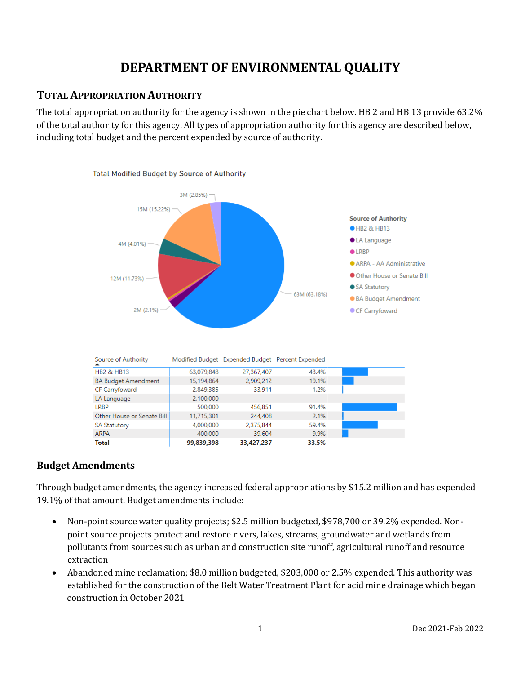# **DEPARTMENT OF ENVIRONMENTAL QUALITY**

# **TOTAL APPROPRIATION AUTHORITY**

The total appropriation authority for the agency is shown in the pie chart below. HB 2 and HB 13 provide 63.2% of the total authority for this agency. All types of appropriation authority for this agency are described below, including total budget and the percent expended by source of authority.



# **Budget Amendments**

Through budget amendments, the agency increased federal appropriations by \$15.2 million and has expended 19.1% of that amount. Budget amendments include:

- Non-point source water quality projects; \$2.5 million budgeted, \$978,700 or 39.2% expended. Nonpoint source projects protect and restore rivers, lakes, streams, groundwater and wetlands from pollutants from sources such as urban and construction site runoff, agricultural runoff and resource extraction
- Abandoned mine reclamation; \$8.0 million budgeted, \$203,000 or 2.5% expended. This authority was established for the construction of the Belt Water Treatment Plant for acid mine drainage which began construction in October 2021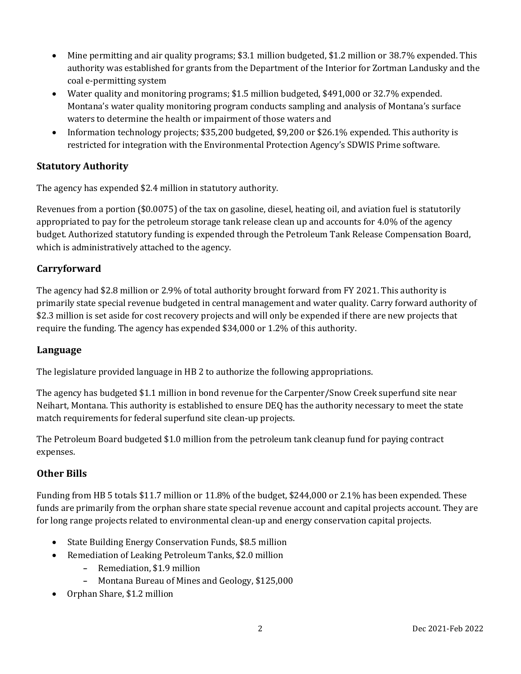- Mine permitting and air quality programs; \$3.1 million budgeted, \$1.2 million or 38.7% expended. This authority was established for grants from the Department of the Interior for Zortman Landusky and the coal e-permitting system
- Water quality and monitoring programs; \$1.5 million budgeted, \$491,000 or 32.7% expended. Montana's water quality monitoring program conducts sampling and analysis of Montana's surface waters to determine the health or impairment of those waters and
- Information technology projects; \$35,200 budgeted, \$9,200 or \$26.1% expended. This authority is restricted for integration with the Environmental Protection Agency's SDWIS Prime software.

# **Statutory Authority**

The agency has expended \$2.4 million in statutory authority.

Revenues from a portion (\$0.0075) of the tax on gasoline, diesel, heating oil, and aviation fuel is statutorily appropriated to pay for the petroleum storage tank release clean up and accounts for 4.0% of the agency budget. Authorized statutory funding is expended through the Petroleum Tank Release Compensation Board, which is administratively attached to the agency.

# **Carryforward**

The agency had \$2.8 million or 2.9% of total authority brought forward from FY 2021. This authority is primarily state special revenue budgeted in central management and water quality. Carry forward authority of \$2.3 million is set aside for cost recovery projects and will only be expended if there are new projects that require the funding. The agency has expended \$34,000 or 1.2% of this authority.

# **Language**

The legislature provided language in HB 2 to authorize the following appropriations.

The agency has budgeted \$1.1 million in bond revenue for the Carpenter/Snow Creek superfund site near Neihart, Montana. This authority is established to ensure DEQ has the authority necessary to meet the state match requirements for federal superfund site clean-up projects.

The Petroleum Board budgeted \$1.0 million from the petroleum tank cleanup fund for paying contract expenses.

# **Other Bills**

Funding from HB 5 totals \$11.7 million or 11.8% of the budget, \$244,000 or 2.1% has been expended. These funds are primarily from the orphan share state special revenue account and capital projects account. They are for long range projects related to environmental clean-up and energy conservation capital projects.

- State Building Energy Conservation Funds, \$8.5 million
- Remediation of Leaking Petroleum Tanks, \$2.0 million
	- **-** Remediation, \$1.9 million
	- **-** Montana Bureau of Mines and Geology, \$125,000
- Orphan Share, \$1.2 million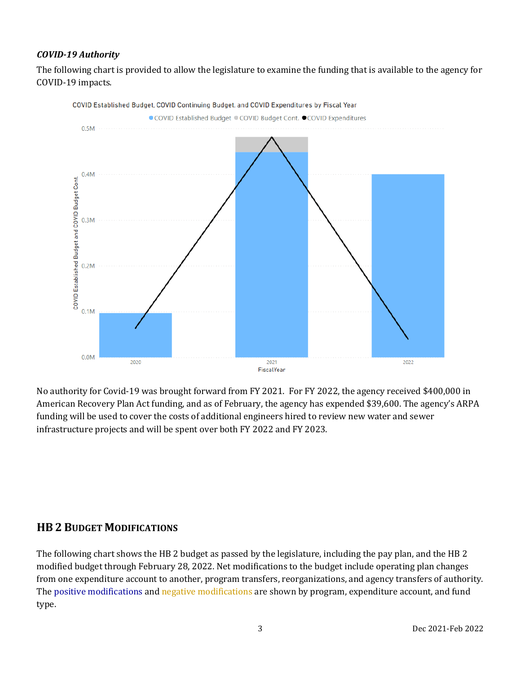### *COVID-19 Authority*

The following chart is provided to allow the legislature to examine the funding that is available to the agency for COVID-19 impacts.



No authority for Covid-19 was brought forward from FY 2021. For FY 2022, the agency received \$400,000 in American Recovery Plan Act funding, and as of February, the agency has expended \$39,600. The agency's ARPA funding will be used to cover the costs of additional engineers hired to review new water and sewer infrastructure projects and will be spent over both FY 2022 and FY 2023.

# **HB 2 BUDGET MODIFICATIONS**

The following chart shows the HB 2 budget as passed by the legislature, including the pay plan, and the HB 2 modified budget through February 28, 2022. Net modifications to the budget include operating plan changes from one expenditure account to another, program transfers, reorganizations, and agency transfers of authority. The positive modifications and negative modifications are shown by program, expenditure account, and fund type.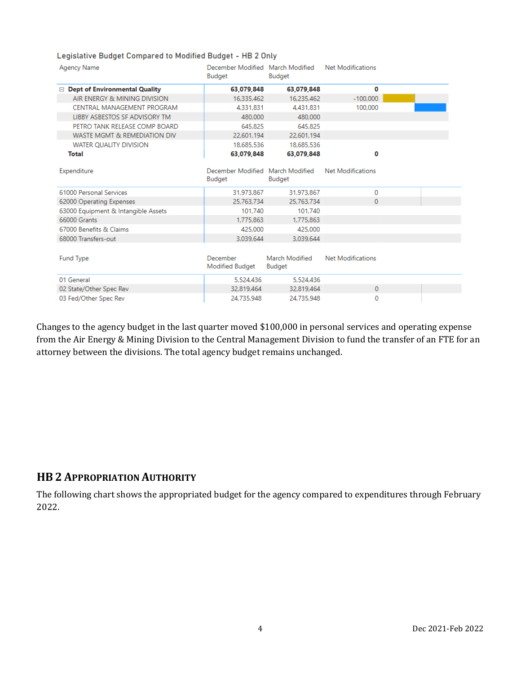#### Legislative Budget Compared to Modified Budget - HB 2 Only

| <b>Agency Name</b>                         | December Modified March Modified<br>Budget | Budget                          | Net Modifications        |  |
|--------------------------------------------|--------------------------------------------|---------------------------------|--------------------------|--|
| <b>Dept of Environmental Quality</b><br>E. | 63,079,848                                 | 63,079,848                      | 0                        |  |
| AIR ENERGY & MINING DIVISION               | 16,335,462                                 | 16,235,462                      | $-100,000$               |  |
| CENTRAL MANAGEMENT PROGRAM                 | 4.331.831                                  | 4.431.831                       | 100,000                  |  |
| LIBBY ASBESTOS SF ADVISORY TM              | 480,000                                    | 480.000                         |                          |  |
| PETRO TANK RELEASE COMP BOARD              | 645.825                                    | 645.825                         |                          |  |
| WASTE MGMT & REMEDIATION DIV               | 22.601.194                                 | 22.601.194                      |                          |  |
| WATER QUALITY DIVISION                     | 18,685,536                                 | 18,685,536                      |                          |  |
| Total                                      | 63,079,848                                 | 63,079,848                      | ٥                        |  |
| Expenditure                                | December Modified March Modified<br>Budget | Budget                          | Net Modifications        |  |
| 61000 Personal Services                    | 31.973.867                                 | 31.973.867                      | 0                        |  |
| 62000 Operating Expenses                   | 25,763,734                                 | 25.763.734                      | 0                        |  |
| 63000 Equipment & Intangible Assets        | 101.740                                    | 101.740                         |                          |  |
| 66000 Grants                               | 1.775.863                                  | 1.775.863                       |                          |  |
| 67000 Benefits & Claims                    | 425.000                                    | 425.000                         |                          |  |
| 68000 Transfers-out                        | 3.039.644                                  | 3.039.644                       |                          |  |
| <b>Fund Type</b>                           | December<br>Modified Budget                | March Modified<br><b>Budget</b> | <b>Net Modifications</b> |  |
| 01 General                                 | 5.524.436                                  | 5.524.436                       |                          |  |
| 02 State/Other Spec Rev                    | 32.819.464                                 | 32.819.464                      | $\mathbf{0}$             |  |
| 03 Fed/Other Spec Rev                      | 24.735.948                                 | 24,735,948                      | 0                        |  |

Changes to the agency budget in the last quarter moved \$100,000 in personal services and operating expense from the Air Energy & Mining Division to the Central Management Division to fund the transfer of an FTE for an attorney between the divisions. The total agency budget remains unchanged.

# **HB 2 APPROPRIATION AUTHORITY**

The following chart shows the appropriated budget for the agency compared to expenditures through February 2022.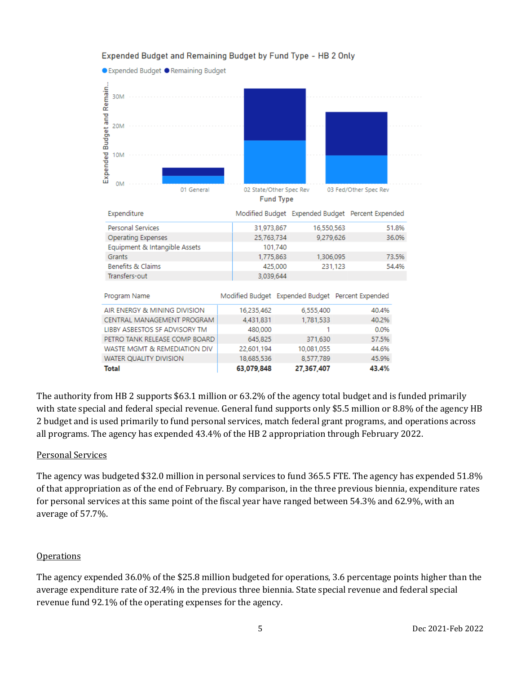#### ● Expended Budget ● Remaining Budget Remain. 30M Expended Budget and **20M** 10M **OM** 01 General 02 State/Other Spec Rev 03 Fed/Other Spec Rev **Fund Type** Expenditure Modified Budget Expended Budget Percent Expended Personal Services 31,973,867 16,550,563 51.8% 36.0% **Operating Expenses** 25,763,734 9,279,626 Equipment & Intangible Assets 101,740 Grants 1.306.095 73.5% 1,775,863 54.4% Benefits & Claims 425,000 231,123 Transfers-out 3,039,644 Program Name Modified Budget Expended Budget Percent Expended AIR ENERGY & MINING DIVISION 6,555,400 40.4% 16,235,462 40.2% CENTRAL MANAGEMENT PROGRAM 1,781,533 4,431,831 LIBBY ASBESTOS SF ADVISORY TM 480,000 1 0.0% PETRO TANK RELEASE COMP BOARD 645,825 371,630 57.5% WASTE MGMT & REMEDIATION DIV 22,601,194 10,081,055 44.6% WATER QUALITY DIVISION 18,685,536 8,577,789 45.9% **Total** 63,079,848 27,367,407 43.4%

Expended Budget and Remaining Budget by Fund Type - HB 2 Only

The authority from HB 2 supports \$63.1 million or 63.2% of the agency total budget and is funded primarily with state special and federal special revenue. General fund supports only \$5.5 million or 8.8% of the agency HB 2 budget and is used primarily to fund personal services, match federal grant programs, and operations across all programs. The agency has expended 43.4% of the HB 2 appropriation through February 2022.

#### Personal Services

The agency was budgeted \$32.0 million in personal services to fund 365.5 FTE. The agency has expended 51.8% of that appropriation as of the end of February. By comparison, in the three previous biennia, expenditure rates for personal services at this same point of the fiscal year have ranged between 54.3% and 62.9%, with an average of 57.7%.

#### **Operations**

The agency expended 36.0% of the \$25.8 million budgeted for operations, 3.6 percentage points higher than the average expenditure rate of 32.4% in the previous three biennia. State special revenue and federal special revenue fund 92.1% of the operating expenses for the agency.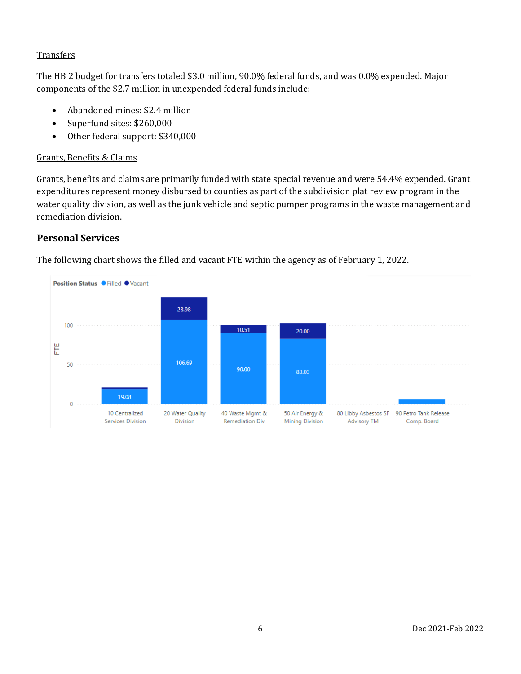### **Transfers**

The HB 2 budget for transfers totaled \$3.0 million, 90.0% federal funds, and was 0.0% expended. Major components of the \$2.7 million in unexpended federal funds include:

- Abandoned mines: \$2.4 million
- Superfund sites: \$260,000
- Other federal support: \$340,000

# Grants, Benefits & Claims

Grants, benefits and claims are primarily funded with state special revenue and were 54.4% expended. Grant expenditures represent money disbursed to counties as part of the subdivision plat review program in the water quality division, as well as the junk vehicle and septic pumper programs in the waste management and remediation division.

# **Personal Services**



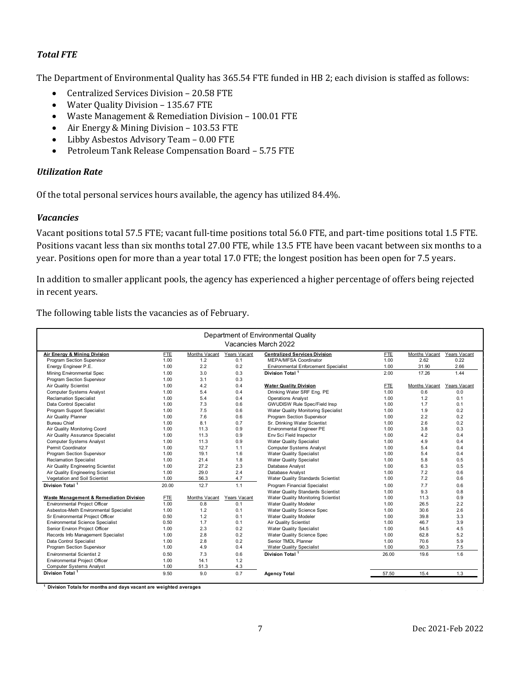#### *Total FTE*

The Department of Environmental Quality has 365.54 FTE funded in HB 2; each division is staffed as follows:

- Centralized Services Division 20.58 FTE
- Water Quality Division 135.67 FTE
- Waste Management & Remediation Division 100.01 FTE
- Air Energy & Mining Division 103.53 FTE
- Libby Asbestos Advisory Team 0.00 FTE
- Petroleum Tank Release Compensation Board 5.75 FTE

#### *Utilization Rate*

Of the total personal services hours available, the agency has utilized 84.4%.

#### *Vacancies*

Vacant positions total 57.5 FTE; vacant full-time positions total 56.0 FTE, and part-time positions total 1.5 FTE. Positions vacant less than six months total 27.00 FTE, while 13.5 FTE have been vacant between six months to a year. Positions open for more than a year total 17.0 FTE; the longest position has been open for 7.5 years.

In addition to smaller applicant pools, the agency has experienced a higher percentage of offers being rejected in recent years.

The following table lists the vacancies as of February.

| Department of Environmental Quality     |            |               |              |                                             |            |               |              |  |  |  |  |
|-----------------------------------------|------------|---------------|--------------|---------------------------------------------|------------|---------------|--------------|--|--|--|--|
| Vacancies March 2022                    |            |               |              |                                             |            |               |              |  |  |  |  |
| Air Energy & Mining Division            | <b>FTE</b> | Months Vacant | Years Vacant | <b>Centralized Services Division</b>        | <b>FTE</b> | Months Vacant | Years Vacant |  |  |  |  |
| Program Section Supervisor              | 1.00       | 1.2           | 0.1          | MEPA/MFSA Coordinator                       | 1.00       | 2.62          | 0.22         |  |  |  |  |
| Energy Engineer P.E.                    | 1.00       | 2.2           | 0.2          | <b>Environmental Enforcement Specialist</b> | 1.00       | 31.90         | 2.66         |  |  |  |  |
| Mining Environmental Spec               | 1.00       | 3.0           | 0.3          | Division Total <sup>1</sup>                 | 2.00       | 17.26         | 1.44         |  |  |  |  |
| Program Section Supervisor              | 1.00       | 3.1           | 0.3          |                                             |            |               |              |  |  |  |  |
| <b>Air Quality Scientist</b>            | 1.00       | 4.2           | 0.4          | <b>Water Quality Division</b>               | <b>FTE</b> | Months Vacant | Years Vacant |  |  |  |  |
| <b>Computer Systems Analyst</b>         | 1.00       | 5.4           | 0.4          | Drinking Water SRF Eng. PE                  | 1.00       | 0.6           | 0.0          |  |  |  |  |
| <b>Reclamation Specialist</b>           | 1.00       | 5.4           | 0.4          | <b>Operations Analyst</b>                   | 1.00       | 1.2           | 0.1          |  |  |  |  |
| Data Control Specialist                 | 1.00       | 7.3           | 0.6          | <b>GWUDISW Rule Spec/Field Insp</b>         | 1.00       | 1.7           | 0.1          |  |  |  |  |
| Program Support Specialist              | 1.00       | 7.5           | 0.6          | Water Quality Monitoring Specialist         | 1.00       | 1.9           | 0.2          |  |  |  |  |
| Air Quality Planner                     | 1.00       | 7.6           | 0.6          | Program Section Supervisor                  | 1.00       | 2.2           | 0.2          |  |  |  |  |
| <b>Bureau Chief</b>                     | 1.00       | 8.1           | 0.7          | Sr. Drinking Water Scientist                | 1.00       | 2.6           | 0.2          |  |  |  |  |
| Air Quality Monitoring Coord            | 1.00       | 11.3          | 0.9          | <b>Environmental Engineer PE</b>            | 1.00       | 3.8           | 0.3          |  |  |  |  |
| Air Quality Assurance Specialist        | 1.00       | 11.3          | 0.9          | Env Sci Field Inspector                     | 1.00       | 4.2           | 0.4          |  |  |  |  |
| <b>Computer Systems Analyst</b>         | 1.00       | 11.3          | 0.9          | <b>Water Quality Specialist</b>             | 1.00       | 4.9           | 0.4          |  |  |  |  |
| Permit Coordinator                      | 1.00       | 12.7          | 1.1          | <b>Computer Systems Analyst</b>             | 1.00       | 5.4           | 0.4          |  |  |  |  |
| Program Section Supervisor              | 1.00       | 19.1          | 1.6          | <b>Water Quality Specialist</b>             | 1.00       | 5.4           | 0.4          |  |  |  |  |
| <b>Reclamation Specialist</b>           | 1.00       | 21.4          | 1.8          | <b>Water Quality Specialist</b>             | 1.00       | 5.8           | 0.5          |  |  |  |  |
| Air Quality Engineering Scientist       | 1.00       | 27.2          | 2.3          | Database Analyst                            | 1.00       | 6.3           | 0.5          |  |  |  |  |
| Air Quality Engineering Scientist       | 1.00       | 29.0          | 2.4          | Database Analyst                            | 1.00       | 7.2           | 0.6          |  |  |  |  |
| Vegetation and Soil Scientist           | 1.00       | 56.3          | 4.7          | Water Quality Standards Scientist           | 1.00       | 7.2           | 0.6          |  |  |  |  |
| Division Total <sup>1</sup>             | 20.00      | 12.7          | 1.1          | <b>Program Financial Specialist</b>         | 1.00       | 7.7           | 0.6          |  |  |  |  |
|                                         |            |               |              | Water Quality Standards Scientist           | 1.00       | 9.3           | 0.8          |  |  |  |  |
| Waste Management & Remediation Division | <b>FTE</b> | Months Vacant | Years Vacant | Water Quality Monitoring Scientist          | 1.00       | 11.3          | 0.9          |  |  |  |  |
| Environmental Project Officer           | 1.00       | 0.8           | 0.1          | <b>Water Quality Modeler</b>                | 1.00       | 26.5          | 2.2          |  |  |  |  |
| Asbestos-Meth Environmental Specialist  | 1.00       | 1.2           | 0.1          | Water Quality Science Spec                  | 1.00       | 30.6          | 2.6          |  |  |  |  |
| Sr Environmental Project Officer        | 0.50       | 1.2           | 0.1          | Water Quality Modeler                       | 1.00       | 39.8          | 3.3          |  |  |  |  |
| <b>Environmental Science Specialist</b> | 0.50       | 1.7           | 0.1          | <b>Air Quality Scientist</b>                | 1.00       | 46.7          | 3.9          |  |  |  |  |
| Senior Environ Project Officer          | 1.00       | 2.3           | 0.2          | <b>Water Quality Specialist</b>             | 1.00       | 54.5          | 4.5          |  |  |  |  |
| Records Info Management Specialist      | 1.00       | 2.8           | 0.2          | Water Quality Science Spec                  | 1.00       | 62.8          | 5.2          |  |  |  |  |
| Data Control Specialist                 | 1.00       | 2.8           | 0.2          | Senior TMDL Planner                         | 1.00       | 70.6          | 5.9          |  |  |  |  |
| Program Section Supervisor              | 1.00       | 4.9           | 0.4          | <b>Water Quality Specialist</b>             | 1.00       | 90.3          | 7.5          |  |  |  |  |
| <b>Environmental Scientist 2</b>        | 0.50       | 7.3           | 0.6          | Division Total <sup>1</sup>                 | 26.00      | 19.6          | 1.6          |  |  |  |  |
| <b>Environmental Project Officer</b>    | 1.00       | 14.1          | 1.2          |                                             |            |               |              |  |  |  |  |
| <b>Computer Systems Analyst</b>         | 1.00       | 51.3          | 4.3          |                                             |            |               |              |  |  |  |  |
| Division Total <sup>1</sup>             | 9.50       | 9.0           | 0.7          | <b>Agency Total</b>                         | 57.50      | 15.4          | 1.3          |  |  |  |  |
|                                         |            |               |              |                                             |            |               |              |  |  |  |  |

**1 Division Totals for months and days vacant are weighted averages** 

 $\mathcal{L} = \mathcal{L}$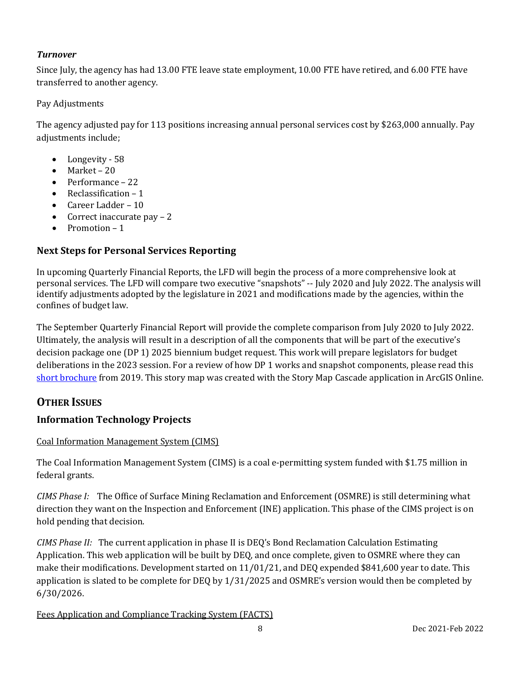# *Turnover*

Since July, the agency has had 13.00 FTE leave state employment, 10.00 FTE have retired, and 6.00 FTE have transferred to another agency.

#### Pay Adjustments

The agency adjusted pay for 113 positions increasing annual personal services cost by \$263,000 annually. Pay adjustments include:

- Longevity 58
- Market 20
- Performance 22
- Reclassification 1
- Career Ladder 10
- Correct inaccurate pay 2
- Promotion 1

# **Next Steps for Personal Services Reporting**

In upcoming Quarterly Financial Reports, the LFD will begin the process of a more comprehensive look at personal services. The LFD will compare two executive "snapshots" -- July 2020 and July 2022. The analysis will identify adjustments adopted by the legislature in 2021 and modifications made by the agencies, within the confines of budget law.

The September Quarterly Financial Report will provide the complete comparison from July 2020 to July 2022. Ultimately, the analysis will result in a description of all the components that will be part of the executive's decision package one (DP 1) 2025 biennium budget request. This work will prepare legislators for budget deliberations in the 2023 session. For a review of how DP 1 works and snapshot components, please read this [short brochure](https://montana.maps.arcgis.com/apps/Cascade/index.html?appid=23095fcf15754f4fb38b63c58a884b97) from 2019. This story map was created with the Story Map Cascade application in ArcGIS Online.

# **OTHER ISSUES**

# **Information Technology Projects**

#### Coal Information Management System (CIMS)

The Coal Information Management System (CIMS) is a coal e-permitting system funded with \$1.75 million in federal grants.

*CIMS Phase I:* The Office of Surface Mining Reclamation and Enforcement (OSMRE) is still determining what direction they want on the Inspection and Enforcement (INE) application. This phase of the CIMS project is on hold pending that decision.

*CIMS Phase II:* The current application in phase II is DEQ's Bond Reclamation Calculation Estimating Application. This web application will be built by DEQ, and once complete, given to OSMRE where they can make their modifications. Development started on 11/01/21, and DEQ expended \$841,600 year to date. This application is slated to be complete for DEQ by 1/31/2025 and OSMRE's version would then be completed by 6/30/2026.

Fees Application and Compliance Tracking System (FACTS)